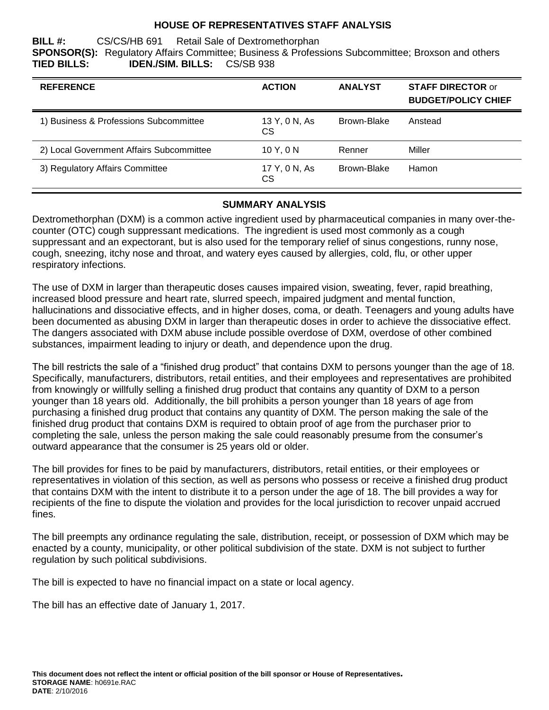#### **HOUSE OF REPRESENTATIVES STAFF ANALYSIS**

**BILL #:** CS/CS/HB 691 Retail Sale of Dextromethorphan **SPONSOR(S):** Regulatory Affairs Committee; Business & Professions Subcommittee; Broxson and others **TIED BILLS: IDEN./SIM. BILLS:** CS/SB 938

| <b>REFERENCE</b>                         | <b>ACTION</b>       | <b>ANALYST</b> | <b>STAFF DIRECTOR or</b><br><b>BUDGET/POLICY CHIEF</b> |
|------------------------------------------|---------------------|----------------|--------------------------------------------------------|
| 1) Business & Professions Subcommittee   | 13 Y, 0 N, As<br>СS | Brown-Blake    | Anstead                                                |
| 2) Local Government Affairs Subcommittee | 10Y, 0N             | Renner         | Miller                                                 |
| 3) Regulatory Affairs Committee          | 17 Y, 0 N, As<br>CS | Brown-Blake    | Hamon                                                  |

## **SUMMARY ANALYSIS**

Dextromethorphan (DXM) is a common active ingredient used by pharmaceutical companies in many over-thecounter (OTC) cough suppressant medications. The ingredient is used most commonly as a cough suppressant and an expectorant, but is also used for the temporary relief of sinus congestions, runny nose, cough, sneezing, itchy nose and throat, and watery eyes caused by allergies, cold, flu, or other upper respiratory infections.

The use of DXM in larger than therapeutic doses causes impaired vision, sweating, fever, rapid breathing, increased blood pressure and heart rate, slurred speech, impaired judgment and mental function, hallucinations and dissociative effects, and in higher doses, coma, or death. Teenagers and young adults have been documented as abusing DXM in larger than therapeutic doses in order to achieve the dissociative effect. The dangers associated with DXM abuse include possible overdose of DXM, overdose of other combined substances, impairment leading to injury or death, and dependence upon the drug.

The bill restricts the sale of a "finished drug product" that contains DXM to persons younger than the age of 18. Specifically, manufacturers, distributors, retail entities, and their employees and representatives are prohibited from knowingly or willfully selling a finished drug product that contains any quantity of DXM to a person younger than 18 years old. Additionally, the bill prohibits a person younger than 18 years of age from purchasing a finished drug product that contains any quantity of DXM. The person making the sale of the finished drug product that contains DXM is required to obtain proof of age from the purchaser prior to completing the sale, unless the person making the sale could reasonably presume from the consumer's outward appearance that the consumer is 25 years old or older.

The bill provides for fines to be paid by manufacturers, distributors, retail entities, or their employees or representatives in violation of this section, as well as persons who possess or receive a finished drug product that contains DXM with the intent to distribute it to a person under the age of 18. The bill provides a way for recipients of the fine to dispute the violation and provides for the local jurisdiction to recover unpaid accrued fines.

The bill preempts any ordinance regulating the sale, distribution, receipt, or possession of DXM which may be enacted by a county, municipality, or other political subdivision of the state. DXM is not subject to further regulation by such political subdivisions.

The bill is expected to have no financial impact on a state or local agency.

The bill has an effective date of January 1, 2017.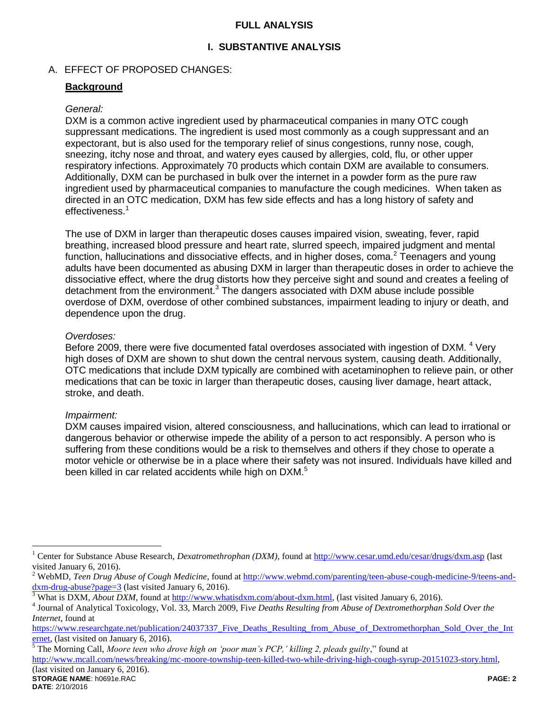#### **FULL ANALYSIS**

# **I. SUBSTANTIVE ANALYSIS**

# A. EFFECT OF PROPOSED CHANGES:

## **Background**

#### *General:*

DXM is a common active ingredient used by pharmaceutical companies in many OTC cough suppressant medications. The ingredient is used most commonly as a cough suppressant and an expectorant, but is also used for the temporary relief of sinus congestions, runny nose, cough, sneezing, itchy nose and throat, and watery eyes caused by allergies, cold, flu, or other upper respiratory infections. Approximately 70 products which contain DXM are available to consumers. Additionally, DXM can be purchased in bulk over the internet in a powder form as the pure raw ingredient used by pharmaceutical companies to manufacture the cough medicines. When taken as directed in an OTC medication, DXM has few side effects and has a long history of safety and effectiveness.<sup>1</sup>

The use of DXM in larger than therapeutic doses causes impaired vision, sweating, fever, rapid breathing, increased blood pressure and heart rate, slurred speech, impaired judgment and mental function, hallucinations and dissociative effects, and in higher doses, coma.<sup>2</sup> Teenagers and young adults have been documented as abusing DXM in larger than therapeutic doses in order to achieve the dissociative effect, where the drug distorts how they perceive sight and sound and creates a feeling of detachment from the environment. $3$  The dangers associated with DXM abuse include possible overdose of DXM, overdose of other combined substances, impairment leading to injury or death, and dependence upon the drug.

#### *Overdoses:*

Before 2009, there were five documented fatal overdoses associated with ingestion of DXM. <sup>4</sup> Very high doses of DXM are shown to shut down the central nervous system, causing death. Additionally, OTC medications that include DXM typically are combined with acetaminophen to relieve pain, or other medications that can be toxic in larger than therapeutic doses, causing liver damage, heart attack, stroke, and death.

## *Impairment:*

DXM causes impaired vision, altered consciousness, and hallucinations, which can lead to irrational or dangerous behavior or otherwise impede the ability of a person to act responsibly. A person who is suffering from these conditions would be a risk to themselves and others if they chose to operate a motor vehicle or otherwise be in a place where their safety was not insured. Individuals have killed and been killed in car related accidents while high on DXM.<sup>5</sup>

<sup>5</sup> The Morning Call, *Moore teen who drove high on 'poor man's PCP,' killing 2, pleads guilty*," found at

[http://www.mcall.com/news/breaking/mc-moore-township-teen-killed-two-while-driving-high-cough-syrup-20151023-story.html,](http://www.mcall.com/news/breaking/mc-moore-township-teen-killed-two-while-driving-high-cough-syrup-20151023-story.html) (last visited on January 6, 2016).

 $\overline{a}$ 

<sup>1</sup> Center for Substance Abuse Research, *Dexatromethrophan (DXM)*, found at<http://www.cesar.umd.edu/cesar/drugs/dxm.asp> (last visited January 6, 2016).

<sup>&</sup>lt;sup>2</sup> WebMD, *Teen Drug Abuse of Cough Medicine*, found at [http://www.webmd.com/parenting/teen-abuse-cough-medicine-9/teens-and](http://www.webmd.com/parenting/teen-abuse-cough-medicine-9/teens-and-dxm-drug-abuse?page=3)[dxm-drug-abuse?page=3](http://www.webmd.com/parenting/teen-abuse-cough-medicine-9/teens-and-dxm-drug-abuse?page=3) (last visited January 6, 2016).

<sup>3</sup> What is DXM, *About DXM*, found at [http://www.whatisdxm.com/about-dxm.html,](http://www.whatisdxm.com/about-dxm.html) (last visited January 6, 2016).

<sup>4</sup> Journal of Analytical Toxicology, Vol. 33, March 2009, Fi*ve Deaths Resulting from Abuse of Dextromethorphan Sold Over the Internet*, found at

[https://www.researchgate.net/publication/24037337\\_Five\\_Deaths\\_Resulting\\_from\\_Abuse\\_of\\_Dextromethorphan\\_Sold\\_Over\\_the\\_Int](https://www.researchgate.net/publication/24037337_Five_Deaths_Resulting_from_Abuse_of_Dextromethorphan_Sold_Over_the_Internet) [ernet,](https://www.researchgate.net/publication/24037337_Five_Deaths_Resulting_from_Abuse_of_Dextromethorphan_Sold_Over_the_Internet) (last visited on January 6, 2016).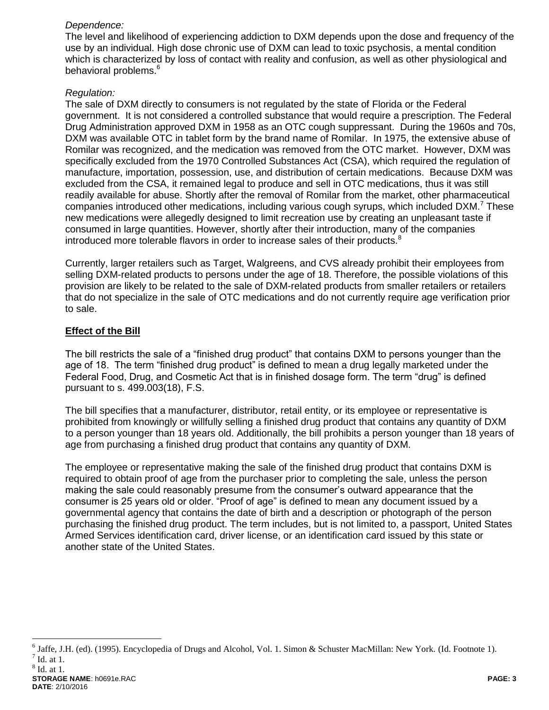# *Dependence:*

The level and likelihood of experiencing addiction to DXM depends upon the dose and frequency of the use by an individual. High dose chronic use of DXM can lead to toxic psychosis, a mental condition which is characterized by loss of contact with reality and confusion, as well as other physiological and behavioral problems.<sup>6</sup>

## *Regulation:*

The sale of DXM directly to consumers is not regulated by the state of Florida or the Federal government. It is not considered a controlled substance that would require a prescription. The Federal Drug Administration approved DXM in 1958 as an OTC cough suppressant. During the 1960s and 70s, DXM was available OTC in tablet form by the brand name of Romilar. In 1975, the extensive abuse of Romilar was recognized, and the medication was removed from the OTC market. However, DXM was specifically excluded from the 1970 Controlled Substances Act (CSA), which required the regulation of manufacture, importation, possession, use, and distribution of certain medications. Because DXM was excluded from the CSA, it remained legal to produce and sell in OTC medications, thus it was still readily available for abuse. Shortly after the removal of Romilar from the market, other pharmaceutical companies introduced other medications, including various cough syrups, which included  $DXM.^7$  These new medications were allegedly designed to limit recreation use by creating an unpleasant taste if consumed in large quantities. However, shortly after their introduction, many of the companies introduced more tolerable flavors in order to increase sales of their products.<sup>8</sup>

Currently, larger retailers such as Target, Walgreens, and CVS already prohibit their employees from selling DXM-related products to persons under the age of 18. Therefore, the possible violations of this provision are likely to be related to the sale of DXM-related products from smaller retailers or retailers that do not specialize in the sale of OTC medications and do not currently require age verification prior to sale.

# **Effect of the Bill**

The bill restricts the sale of a "finished drug product" that contains DXM to persons younger than the age of 18. The term "finished drug product" is defined to mean a drug legally marketed under the Federal Food, Drug, and Cosmetic Act that is in finished dosage form. The term "drug" is defined pursuant to s. 499.003(18), F.S.

The bill specifies that a manufacturer, distributor, retail entity, or its employee or representative is prohibited from knowingly or willfully selling a finished drug product that contains any quantity of DXM to a person younger than 18 years old. Additionally, the bill prohibits a person younger than 18 years of age from purchasing a finished drug product that contains any quantity of DXM.

The employee or representative making the sale of the finished drug product that contains DXM is required to obtain proof of age from the purchaser prior to completing the sale, unless the person making the sale could reasonably presume from the consumer's outward appearance that the consumer is 25 years old or older. "Proof of age" is defined to mean any document issued by a governmental agency that contains the date of birth and a description or photograph of the person purchasing the finished drug product. The term includes, but is not limited to, a passport, United States Armed Services identification card, driver license, or an identification card issued by this state or another state of the United States.

8 Id. at 1.

 6 Jaffe, J.H. (ed). (1995). Encyclopedia of Drugs and Alcohol, Vol. 1. Simon & Schuster MacMillan: New York. (Id. Footnote 1).  $<sup>7</sup>$  Id. at 1.</sup>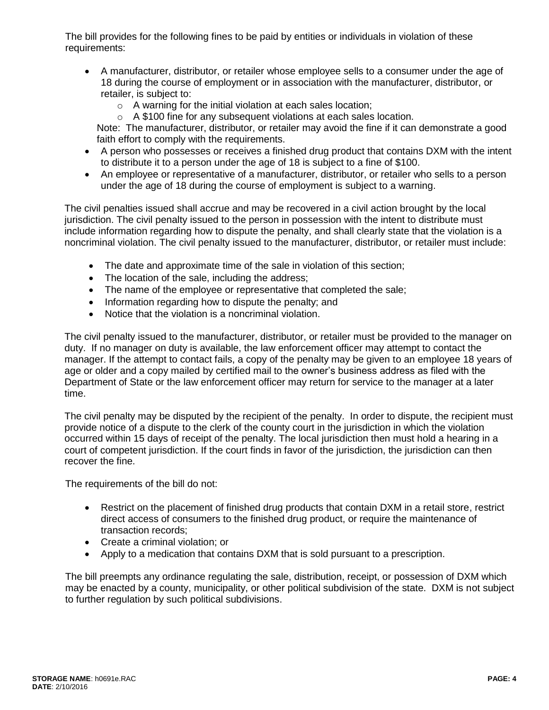The bill provides for the following fines to be paid by entities or individuals in violation of these requirements:

- A manufacturer, distributor, or retailer whose employee sells to a consumer under the age of 18 during the course of employment or in association with the manufacturer, distributor, or retailer, is subject to:
	- o A warning for the initial violation at each sales location;
	- o A \$100 fine for any subsequent violations at each sales location.

Note: The manufacturer, distributor, or retailer may avoid the fine if it can demonstrate a good faith effort to comply with the requirements.

- A person who possesses or receives a finished drug product that contains DXM with the intent to distribute it to a person under the age of 18 is subject to a fine of \$100.
- An employee or representative of a manufacturer, distributor, or retailer who sells to a person under the age of 18 during the course of employment is subject to a warning.

The civil penalties issued shall accrue and may be recovered in a civil action brought by the local jurisdiction. The civil penalty issued to the person in possession with the intent to distribute must include information regarding how to dispute the penalty, and shall clearly state that the violation is a noncriminal violation. The civil penalty issued to the manufacturer, distributor, or retailer must include:

- The date and approximate time of the sale in violation of this section;
- The location of the sale, including the address;
- The name of the employee or representative that completed the sale;
- Information regarding how to dispute the penalty; and
- Notice that the violation is a noncriminal violation.

The civil penalty issued to the manufacturer, distributor, or retailer must be provided to the manager on duty. If no manager on duty is available, the law enforcement officer may attempt to contact the manager. If the attempt to contact fails, a copy of the penalty may be given to an employee 18 years of age or older and a copy mailed by certified mail to the owner's business address as filed with the Department of State or the law enforcement officer may return for service to the manager at a later time.

The civil penalty may be disputed by the recipient of the penalty. In order to dispute, the recipient must provide notice of a dispute to the clerk of the county court in the jurisdiction in which the violation occurred within 15 days of receipt of the penalty. The local jurisdiction then must hold a hearing in a court of competent jurisdiction. If the court finds in favor of the jurisdiction, the jurisdiction can then recover the fine.

The requirements of the bill do not:

- Restrict on the placement of finished drug products that contain DXM in a retail store, restrict direct access of consumers to the finished drug product, or require the maintenance of transaction records;
- Create a criminal violation; or
- Apply to a medication that contains DXM that is sold pursuant to a prescription.

The bill preempts any ordinance regulating the sale, distribution, receipt, or possession of DXM which may be enacted by a county, municipality, or other political subdivision of the state. DXM is not subject to further regulation by such political subdivisions.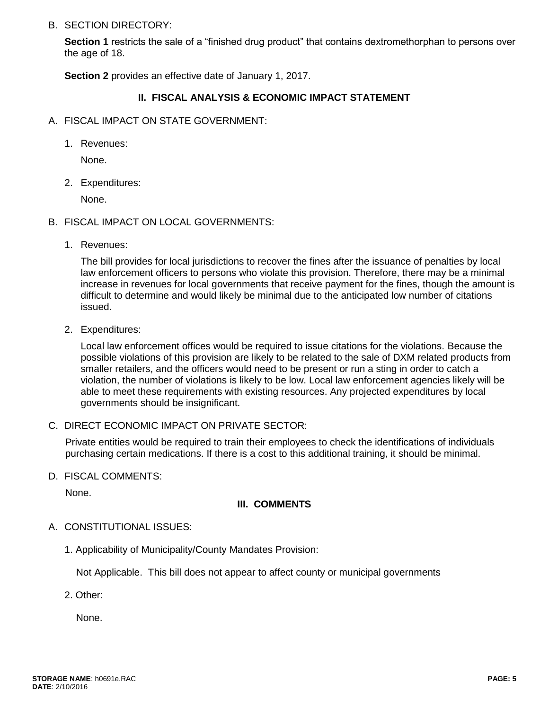#### B. SECTION DIRECTORY:

**Section 1** restricts the sale of a "finished drug product" that contains dextromethorphan to persons over the age of 18.

**Section 2** provides an effective date of January 1, 2017.

## **II. FISCAL ANALYSIS & ECONOMIC IMPACT STATEMENT**

- A. FISCAL IMPACT ON STATE GOVERNMENT:
	- 1. Revenues:

None.

2. Expenditures:

None.

- B. FISCAL IMPACT ON LOCAL GOVERNMENTS:
	- 1. Revenues:

The bill provides for local jurisdictions to recover the fines after the issuance of penalties by local law enforcement officers to persons who violate this provision. Therefore, there may be a minimal increase in revenues for local governments that receive payment for the fines, though the amount is difficult to determine and would likely be minimal due to the anticipated low number of citations issued.

2. Expenditures:

Local law enforcement offices would be required to issue citations for the violations. Because the possible violations of this provision are likely to be related to the sale of DXM related products from smaller retailers, and the officers would need to be present or run a sting in order to catch a violation, the number of violations is likely to be low. Local law enforcement agencies likely will be able to meet these requirements with existing resources. Any projected expenditures by local governments should be insignificant.

C. DIRECT ECONOMIC IMPACT ON PRIVATE SECTOR:

Private entities would be required to train their employees to check the identifications of individuals purchasing certain medications. If there is a cost to this additional training, it should be minimal.

D. FISCAL COMMENTS:

None.

## **III. COMMENTS**

- A. CONSTITUTIONAL ISSUES:
	- 1. Applicability of Municipality/County Mandates Provision:

Not Applicable. This bill does not appear to affect county or municipal governments

2. Other:

None.